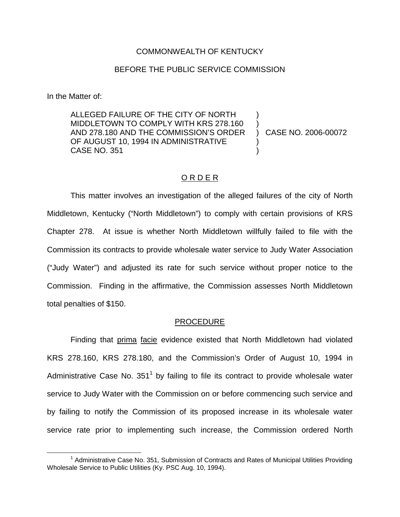### COMMONWEALTH OF KENTUCKY

### BEFORE THE PUBLIC SERVICE COMMISSION

In the Matter of:

ALLEGED FAILURE OF THE CITY OF NORTH MIDDLETOWN TO COMPLY WITH KRS 278.160 AND 278.180 AND THE COMMISSION'S ORDER OF AUGUST 10, 1994 IN ADMINISTRATIVE CASE NO. 351 ) ) ) CASE NO. 2006-00072 ) )

## O R D E R

This matter involves an investigation of the alleged failures of the city of North Middletown, Kentucky ("North Middletown") to comply with certain provisions of KRS Chapter 278. At issue is whether North Middletown willfully failed to file with the Commission its contracts to provide wholesale water service to Judy Water Association ("Judy Water") and adjusted its rate for such service without proper notice to the Commission. Finding in the affirmative, the Commission assesses North Middletown total penalties of \$150.

#### PROCEDURE

Finding that prima facie evidence existed that North Middletown had violated KRS 278.160, KRS 278.180, and the Commission's Order of August 10, 1994 in Administrative Case No.  $351<sup>1</sup>$  by failing to file its contract to provide wholesale water service to Judy Water with the Commission on or before commencing such service and by failing to notify the Commission of its proposed increase in its wholesale water service rate prior to implementing such increase, the Commission ordered North

 $1$  Administrative Case No. 351, Submission of Contracts and Rates of Municipal Utilities Providing Wholesale Service to Public Utilities (Ky. PSC Aug. 10, 1994).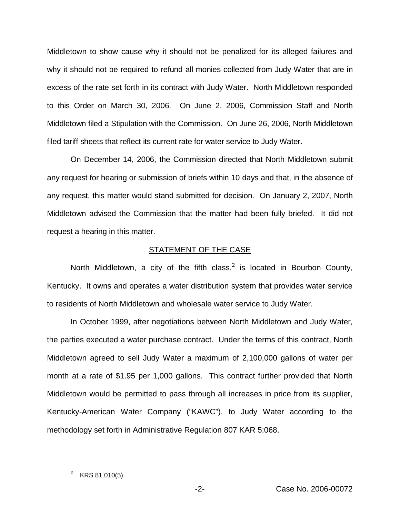Middletown to show cause why it should not be penalized for its alleged failures and why it should not be required to refund all monies collected from Judy Water that are in excess of the rate set forth in its contract with Judy Water. North Middletown responded to this Order on March 30, 2006. On June 2, 2006, Commission Staff and North Middletown filed a Stipulation with the Commission. On June 26, 2006, North Middletown filed tariff sheets that reflect its current rate for water service to Judy Water.

On December 14, 2006, the Commission directed that North Middletown submit any request for hearing or submission of briefs within 10 days and that, in the absence of any request, this matter would stand submitted for decision. On January 2, 2007, North Middletown advised the Commission that the matter had been fully briefed. It did not request a hearing in this matter.

### STATEMENT OF THE CASE

North Middletown, a city of the fifth class, $<sup>2</sup>$  is located in Bourbon County,</sup> Kentucky. It owns and operates a water distribution system that provides water service to residents of North Middletown and wholesale water service to Judy Water.

In October 1999, after negotiations between North Middletown and Judy Water, the parties executed a water purchase contract. Under the terms of this contract, North Middletown agreed to sell Judy Water a maximum of 2,100,000 gallons of water per month at a rate of \$1.95 per 1,000 gallons. This contract further provided that North Middletown would be permitted to pass through all increases in price from its supplier, Kentucky-American Water Company ("KAWC"), to Judy Water according to the methodology set forth in Administrative Regulation 807 KAR 5:068.

 $2$  KRS 81.010(5).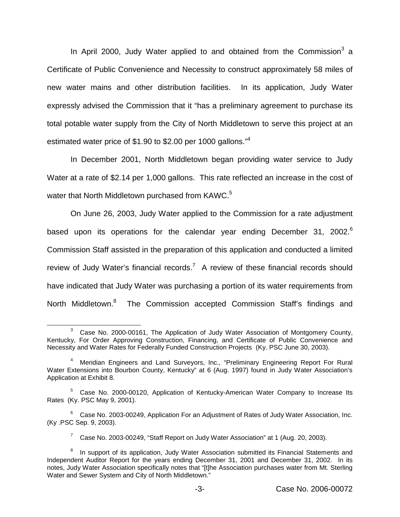In April 2000, Judy Water applied to and obtained from the Commission<sup>3</sup> a Certificate of Public Convenience and Necessity to construct approximately 58 miles of new water mains and other distribution facilities. In its application, Judy Water expressly advised the Commission that it "has a preliminary agreement to purchase its total potable water supply from the City of North Middletown to serve this project at an estimated water price of \$1.90 to \$2.00 per 1000 gallons."<sup>4</sup>

In December 2001, North Middletown began providing water service to Judy Water at a rate of \$2.14 per 1,000 gallons. This rate reflected an increase in the cost of water that North Middletown purchased from KAWC.<sup>5</sup>

On June 26, 2003, Judy Water applied to the Commission for a rate adjustment based upon its operations for the calendar year ending December 31, 2002.<sup>6</sup> Commission Staff assisted in the preparation of this application and conducted a limited review of Judy Water's financial records.<sup>7</sup> A review of these financial records should have indicated that Judy Water was purchasing a portion of its water requirements from North Middletown.<sup>8</sup> The Commission accepted Commission Staff's findings and

Case No. 2000-00161, The Application of Judy Water Association of Montgomery County, Kentucky, For Order Approving Construction, Financing, and Certificate of Public Convenience and Necessity and Water Rates for Federally Funded Construction Projects (Ky. PSC June 30, 2003).

<sup>4</sup> Meridian Engineers and Land Surveyors, Inc., "Preliminary Engineering Report For Rural Water Extensions into Bourbon County, Kentucky" at 6 (Aug. 1997) found in Judy Water Association's Application at Exhibit 8.

<sup>&</sup>lt;sup>5</sup> Case No. 2000-00120, Application of Kentucky-American Water Company to Increase Its Rates (Ky. PSC May 9, 2001).

 $6$  Case No. 2003-00249, Application For an Adjustment of Rates of Judy Water Association, Inc. (Ky .PSC Sep. 9, 2003).

 $7$  Case No. 2003-00249, "Staff Report on Judy Water Association" at 1 (Aug. 20, 2003).

In support of its application, Judy Water Association submitted its Financial Statements and Independent Auditor Report for the years ending December 31, 2001 and December 31, 2002. In its notes, Judy Water Association specifically notes that "[t]he Association purchases water from Mt. Sterling Water and Sewer System and City of North Middletown."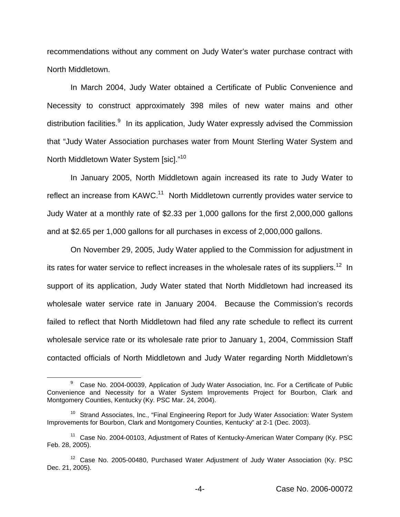recommendations without any comment on Judy Water's water purchase contract with North Middletown.

In March 2004, Judy Water obtained a Certificate of Public Convenience and Necessity to construct approximately 398 miles of new water mains and other distribution facilities.<sup>9</sup> In its application, Judy Water expressly advised the Commission that "Judy Water Association purchases water from Mount Sterling Water System and North Middletown Water System [sic]."<sup>10</sup>

In January 2005, North Middletown again increased its rate to Judy Water to reflect an increase from KAWC.<sup>11</sup> North Middletown currently provides water service to Judy Water at a monthly rate of \$2.33 per 1,000 gallons for the first 2,000,000 gallons and at \$2.65 per 1,000 gallons for all purchases in excess of 2,000,000 gallons.

On November 29, 2005, Judy Water applied to the Commission for adjustment in its rates for water service to reflect increases in the wholesale rates of its suppliers.<sup>12</sup> In support of its application, Judy Water stated that North Middletown had increased its wholesale water service rate in January 2004. Because the Commission's records failed to reflect that North Middletown had filed any rate schedule to reflect its current wholesale service rate or its wholesale rate prior to January 1, 2004, Commission Staff contacted officials of North Middletown and Judy Water regarding North Middletown's

<sup>9</sup> Case No. 2004-00039, Application of Judy Water Association, Inc. For a Certificate of Public Convenience and Necessity for a Water System Improvements Project for Bourbon, Clark and Montgomery Counties, Kentucky (Ky. PSC Mar. 24, 2004).

<sup>&</sup>lt;sup>10</sup> Strand Associates, Inc., "Final Engineering Report for Judy Water Association: Water System Improvements for Bourbon, Clark and Montgomery Counties, Kentucky" at 2-1 (Dec. 2003).

<sup>&</sup>lt;sup>11</sup> Case No. 2004-00103, Adjustment of Rates of Kentucky-American Water Company (Ky. PSC Feb. 28, 2005).

 $12$  Case No. 2005-00480, Purchased Water Adjustment of Judy Water Association (Ky. PSC Dec. 21, 2005).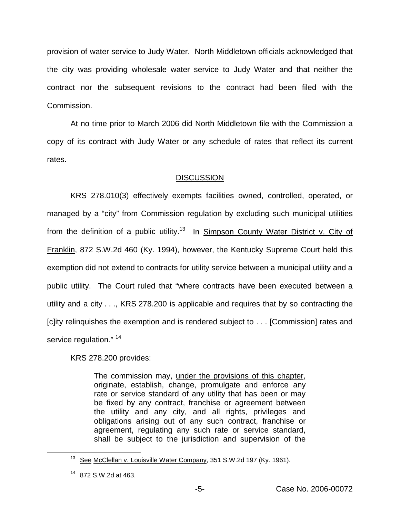provision of water service to Judy Water. North Middletown officials acknowledged that the city was providing wholesale water service to Judy Water and that neither the contract nor the subsequent revisions to the contract had been filed with the Commission.

At no time prior to March 2006 did North Middletown file with the Commission a copy of its contract with Judy Water or any schedule of rates that reflect its current rates.

# **DISCUSSION**

KRS 278.010(3) effectively exempts facilities owned, controlled, operated, or managed by a "city" from Commission regulation by excluding such municipal utilities from the definition of a public utility.<sup>13</sup> In Simpson County Water District v. City of Franklin, 872 S.W.2d 460 (Ky. 1994), however, the Kentucky Supreme Court held this exemption did not extend to contracts for utility service between a municipal utility and a public utility. The Court ruled that "where contracts have been executed between a utility and a city . . ., KRS 278.200 is applicable and requires that by so contracting the [c]ity relinquishes the exemption and is rendered subject to . . . [Commission] rates and service regulation." <sup>14</sup>

KRS 278.200 provides:

The commission may, under the provisions of this chapter, originate, establish, change, promulgate and enforce any rate or service standard of any utility that has been or may be fixed by any contract, franchise or agreement between the utility and any city, and all rights, privileges and obligations arising out of any such contract, franchise or agreement, regulating any such rate or service standard, shall be subject to the jurisdiction and supervision of the

<sup>&</sup>lt;sup>13</sup> See McClellan v. Louisville Water Company, 351 S.W.2d 197 (Ky. 1961).

 $14$  872 S.W. 2d at 463.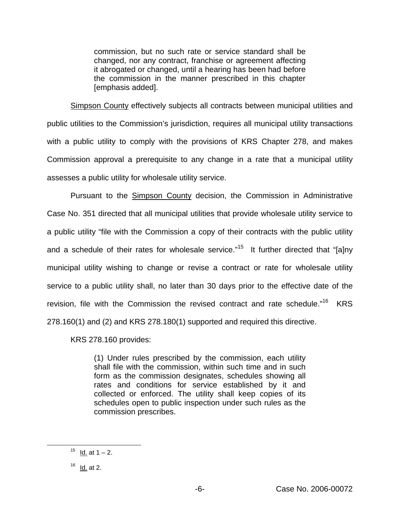commission, but no such rate or service standard shall be changed, nor any contract, franchise or agreement affecting it abrogated or changed, until a hearing has been had before the commission in the manner prescribed in this chapter [emphasis added].

Simpson County effectively subjects all contracts between municipal utilities and public utilities to the Commission's jurisdiction, requires all municipal utility transactions with a public utility to comply with the provisions of KRS Chapter 278, and makes Commission approval a prerequisite to any change in a rate that a municipal utility assesses a public utility for wholesale utility service.

Pursuant to the Simpson County decision, the Commission in Administrative Case No. 351 directed that all municipal utilities that provide wholesale utility service to a public utility "file with the Commission a copy of their contracts with the public utility and a schedule of their rates for wholesale service."<sup>15</sup> It further directed that "[a]ny municipal utility wishing to change or revise a contract or rate for wholesale utility service to a public utility shall, no later than 30 days prior to the effective date of the revision, file with the Commission the revised contract and rate schedule."<sup>16</sup> KRS 278.160(1) and (2) and KRS 278.180(1) supported and required this directive.

KRS 278.160 provides:

(1) Under rules prescribed by the commission, each utility shall file with the commission, within such time and in such form as the commission designates, schedules showing all rates and conditions for service established by it and collected or enforced. The utility shall keep copies of its schedules open to public inspection under such rules as the commission prescribes.

 $15$  Id. at 1 – 2.

 $16$  Id. at 2.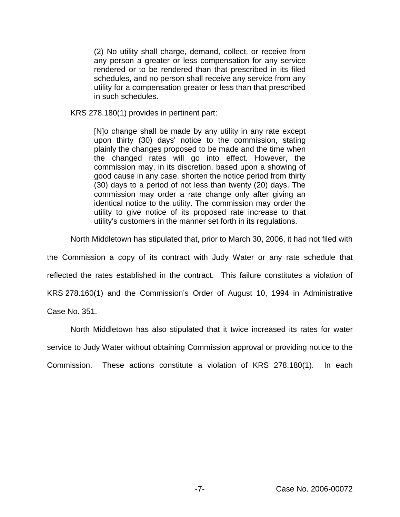(2) No utility shall charge, demand, collect, or receive from any person a greater or less compensation for any service rendered or to be rendered than that prescribed in its filed schedules, and no person shall receive any service from any utility for a compensation greater or less than that prescribed in such schedules.

KRS 278.180(1) provides in pertinent part:

[N]o change shall be made by any utility in any rate except upon thirty (30) days' notice to the commission, stating plainly the changes proposed to be made and the time when the changed rates will go into effect. However, the commission may, in its discretion, based upon a showing of good cause in any case, shorten the notice period from thirty (30) days to a period of not less than twenty (20) days. The commission may order a rate change only after giving an identical notice to the utility. The commission may order the utility to give notice of its proposed rate increase to that utility's customers in the manner set forth in its regulations.

North Middletown has stipulated that, prior to March 30, 2006, it had not filed with

the Commission a copy of its contract with Judy Water or any rate schedule that reflected the rates established in the contract. This failure constitutes a violation of KRS 278.160(1) and the Commission's Order of August 10, 1994 in Administrative Case No. 351.

North Middletown has also stipulated that it twice increased its rates for water service to Judy Water without obtaining Commission approval or providing notice to the Commission. These actions constitute a violation of KRS 278.180(1). In each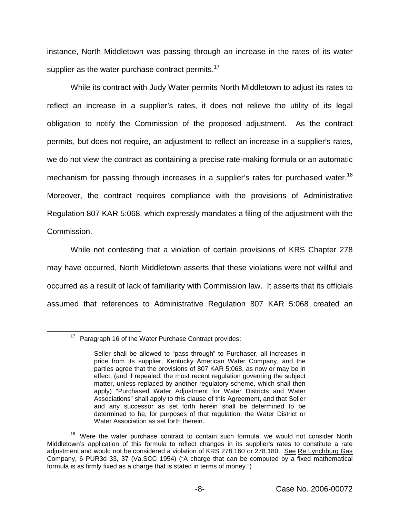instance, North Middletown was passing through an increase in the rates of its water supplier as the water purchase contract permits.<sup>17</sup>

While its contract with Judy Water permits North Middletown to adjust its rates to reflect an increase in a supplier's rates, it does not relieve the utility of its legal obligation to notify the Commission of the proposed adjustment. As the contract permits, but does not require, an adjustment to reflect an increase in a supplier's rates, we do not view the contract as containing a precise rate-making formula or an automatic mechanism for passing through increases in a supplier's rates for purchased water.<sup>18</sup> Moreover, the contract requires compliance with the provisions of Administrative Regulation 807 KAR 5:068, which expressly mandates a filing of the adjustment with the Commission.

While not contesting that a violation of certain provisions of KRS Chapter 278 may have occurred, North Middletown asserts that these violations were not willful and occurred as a result of lack of familiarity with Commission law. It asserts that its officials assumed that references to Administrative Regulation 807 KAR 5:068 created an

<sup>&</sup>lt;sup>17</sup> Paragraph 16 of the Water Purchase Contract provides:

Seller shall be allowed to "pass through" to Purchaser, all increases in price from its supplier, Kentucky American Water Company, and the parties agree that the provisions of 807 KAR 5:068, as now or may be in effect, (and if repealed, the most recent regulation governing the subject matter, unless replaced by another regulatory scheme, which shall then apply) "Purchased Water Adjustment for Water Districts and Water Associations" shall apply to this clause of this Agreement, and that Seller and any successor as set forth herein shall be determined to be determined to be, for purposes of that regulation, the Water District or Water Association as set forth therein.

<sup>&</sup>lt;sup>18</sup> Were the water purchase contract to contain such formula, we would not consider North Middletown's application of this formula to reflect changes in its supplier's rates to constitute a rate adjustment and would not be considered a violation of KRS 278.160 or 278.180. See Re Lynchburg Gas Company, 6 PUR3d 33, 37 (Va.SCC 1954) ("A charge that can be computed by a fixed mathematical formula is as firmly fixed as a charge that is stated in terms of money.")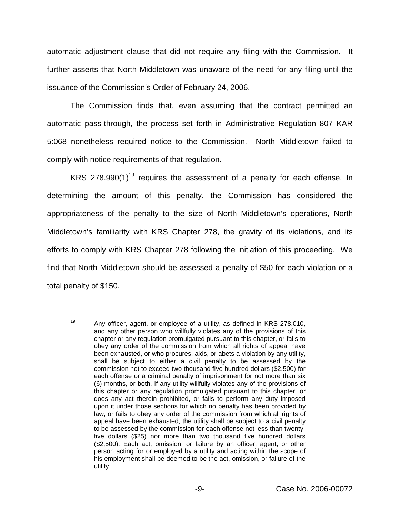automatic adjustment clause that did not require any filing with the Commission. It further asserts that North Middletown was unaware of the need for any filing until the issuance of the Commission's Order of February 24, 2006.

The Commission finds that, even assuming that the contract permitted an automatic pass-through, the process set forth in Administrative Regulation 807 KAR 5:068 nonetheless required notice to the Commission. North Middletown failed to comply with notice requirements of that regulation.

KRS 278.990(1)<sup>19</sup> requires the assessment of a penalty for each offense. In determining the amount of this penalty, the Commission has considered the appropriateness of the penalty to the size of North Middletown's operations, North Middletown's familiarity with KRS Chapter 278, the gravity of its violations, and its efforts to comply with KRS Chapter 278 following the initiation of this proceeding. We find that North Middletown should be assessed a penalty of \$50 for each violation or a total penalty of \$150.

<sup>&</sup>lt;sup>19</sup> Any officer, agent, or employee of a utility, as defined in KRS 278.010, and any other person who willfully violates any of the provisions of this chapter or any regulation promulgated pursuant to this chapter, or fails to obey any order of the commission from which all rights of appeal have been exhausted, or who procures, aids, or abets a violation by any utility, shall be subject to either a civil penalty to be assessed by the commission not to exceed two thousand five hundred dollars (\$2,500) for each offense or a criminal penalty of imprisonment for not more than six (6) months, or both. If any utility willfully violates any of the provisions of this chapter or any regulation promulgated pursuant to this chapter, or does any act therein prohibited, or fails to perform any duty imposed upon it under those sections for which no penalty has been provided by law, or fails to obey any order of the commission from which all rights of appeal have been exhausted, the utility shall be subject to a civil penalty to be assessed by the commission for each offense not less than twentyfive dollars (\$25) nor more than two thousand five hundred dollars (\$2,500). Each act, omission, or failure by an officer, agent, or other person acting for or employed by a utility and acting within the scope of his employment shall be deemed to be the act, omission, or failure of the utility.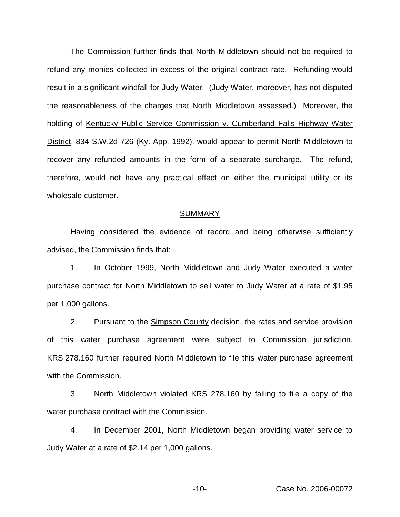The Commission further finds that North Middletown should not be required to refund any monies collected in excess of the original contract rate. Refunding would result in a significant windfall for Judy Water. (Judy Water, moreover, has not disputed the reasonableness of the charges that North Middletown assessed.) Moreover, the holding of Kentucky Public Service Commission v. Cumberland Falls Highway Water District, 834 S.W.2d 726 (Ky. App. 1992), would appear to permit North Middletown to recover any refunded amounts in the form of a separate surcharge. The refund, therefore, would not have any practical effect on either the municipal utility or its wholesale customer.

#### SUMMARY

Having considered the evidence of record and being otherwise sufficiently advised, the Commission finds that:

1. In October 1999, North Middletown and Judy Water executed a water purchase contract for North Middletown to sell water to Judy Water at a rate of \$1.95 per 1,000 gallons.

2. Pursuant to the Simpson County decision, the rates and service provision of this water purchase agreement were subject to Commission jurisdiction. KRS 278.160 further required North Middletown to file this water purchase agreement with the Commission.

3. North Middletown violated KRS 278.160 by failing to file a copy of the water purchase contract with the Commission.

4. In December 2001, North Middletown began providing water service to Judy Water at a rate of \$2.14 per 1,000 gallons.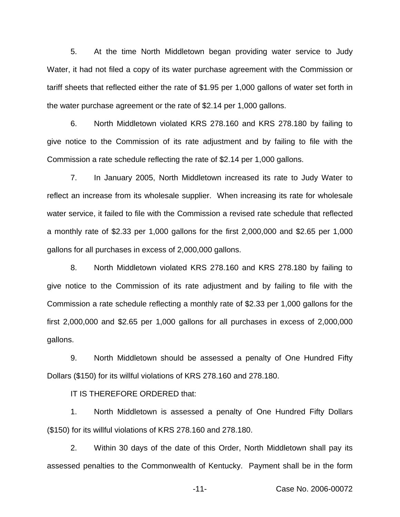5. At the time North Middletown began providing water service to Judy Water, it had not filed a copy of its water purchase agreement with the Commission or tariff sheets that reflected either the rate of \$1.95 per 1,000 gallons of water set forth in the water purchase agreement or the rate of \$2.14 per 1,000 gallons.

6. North Middletown violated KRS 278.160 and KRS 278.180 by failing to give notice to the Commission of its rate adjustment and by failing to file with the Commission a rate schedule reflecting the rate of \$2.14 per 1,000 gallons.

7. In January 2005, North Middletown increased its rate to Judy Water to reflect an increase from its wholesale supplier. When increasing its rate for wholesale water service, it failed to file with the Commission a revised rate schedule that reflected a monthly rate of \$2.33 per 1,000 gallons for the first 2,000,000 and \$2.65 per 1,000 gallons for all purchases in excess of 2,000,000 gallons.

8. North Middletown violated KRS 278.160 and KRS 278.180 by failing to give notice to the Commission of its rate adjustment and by failing to file with the Commission a rate schedule reflecting a monthly rate of \$2.33 per 1,000 gallons for the first 2,000,000 and \$2.65 per 1,000 gallons for all purchases in excess of 2,000,000 gallons.

9. North Middletown should be assessed a penalty of One Hundred Fifty Dollars (\$150) for its willful violations of KRS 278.160 and 278.180.

IT IS THEREFORE ORDERED that:

1. North Middletown is assessed a penalty of One Hundred Fifty Dollars (\$150) for its willful violations of KRS 278.160 and 278.180.

2. Within 30 days of the date of this Order, North Middletown shall pay its assessed penalties to the Commonwealth of Kentucky. Payment shall be in the form

-11- Case No. 2006-00072